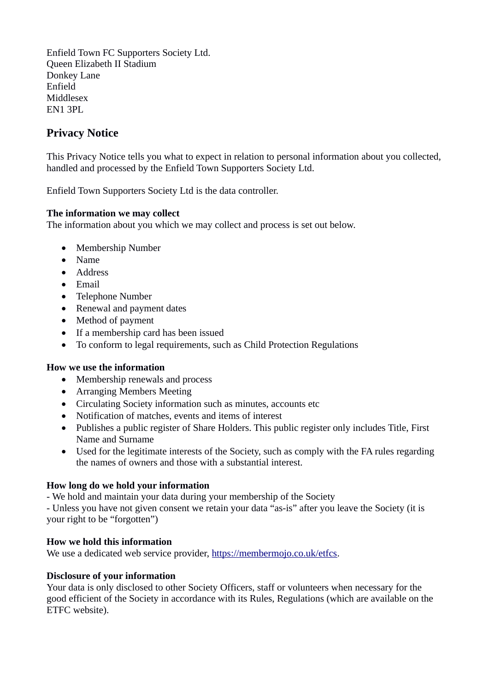Enfield Town FC Supporters Society Ltd. Queen Elizabeth II Stadium Donkey Lane Enfield Middlesex EN1 3PL

# **Privacy Notice**

This Privacy Notice tells you what to expect in relation to personal information about you collected, handled and processed by the Enfield Town Supporters Society Ltd.

Enfield Town Supporters Society Ltd is the data controller.

## **The information we may collect**

The information about you which we may collect and process is set out below.

- Membership Number
- Name
- Address
- Email
- Telephone Number
- Renewal and payment dates
- Method of payment
- If a membership card has been issued
- To conform to legal requirements, such as Child Protection Regulations

### **How we use the information**

- Membership renewals and process
- Arranging Members Meeting
- Circulating Society information such as minutes, accounts etc
- Notification of matches, events and items of interest
- Publishes a public register of Share Holders. This public register only includes Title, First Name and Surname
- Used for the legitimate interests of the Society, such as comply with the FA rules regarding the names of owners and those with a substantial interest.

## **How long do we hold your information**

- We hold and maintain your data during your membership of the Society

- Unless you have not given consent we retain your data "as-is" after you leave the Society (it is your right to be "forgotten")

### **How we hold this information**

We use a dedicated web service provider, [https://membermojo.co.uk/etfcs.](https://membermojo.co.uk/etfcs)

### **Disclosure of your information**

Your data is only disclosed to other Society Officers, staff or volunteers when necessary for the good efficient of the Society in accordance with its Rules, Regulations (which are available on the ETFC website).